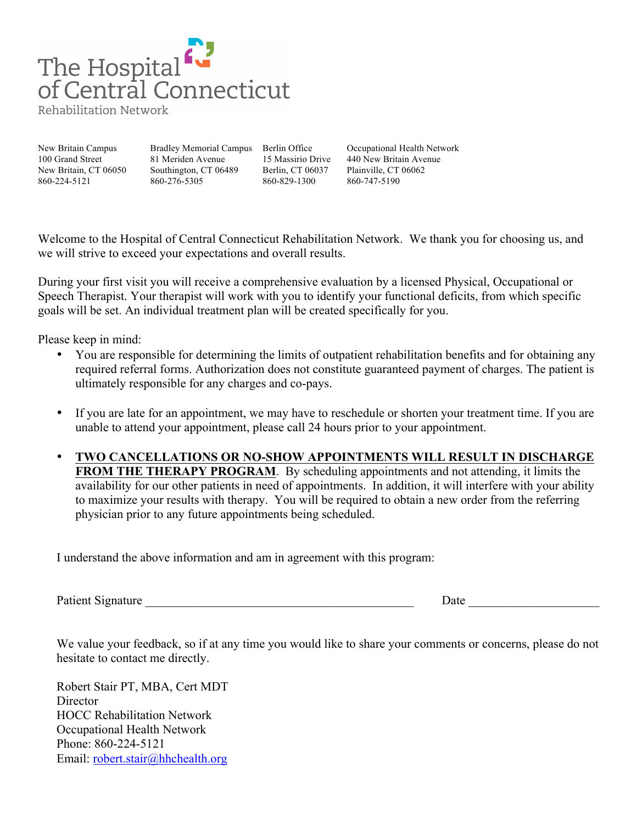

Rehabilitation Network

100 Grand Street 81 Meriden Avenue 15 Massirio Drive 440 New Britain Avenue New Britain, CT 06050 Southington, CT 06489 Berlin, CT 06037 Plainville, CT 06062 860-224-5121 860-276-5305 860-829-1300 860-747-5190

New Britain Campus Bradley Memorial Campus Berlin Office Occupational Health Network

Welcome to the Hospital of Central Connecticut Rehabilitation Network. We thank you for choosing us, and we will strive to exceed your expectations and overall results.

During your first visit you will receive a comprehensive evaluation by a licensed Physical, Occupational or Speech Therapist. Your therapist will work with you to identify your functional deficits, from which specific goals will be set. An individual treatment plan will be created specifically for you.

Please keep in mind:

- You are responsible for determining the limits of outpatient rehabilitation benefits and for obtaining any required referral forms. Authorization does not constitute guaranteed payment of charges. The patient is ultimately responsible for any charges and co-pays.
- If you are late for an appointment, we may have to reschedule or shorten your treatment time. If you are unable to attend your appointment, please call 24 hours prior to your appointment.
- **TWO CANCELLATIONS OR NO-SHOW APPOINTMENTS WILL RESULT IN DISCHARGE FROM THE THERAPY PROGRAM.** By scheduling appointments and not attending, it limits the availability for our other patients in need of appointments. In addition, it will interfere with your ability to maximize your results with therapy. You will be required to obtain a new order from the referring physician prior to any future appointments being scheduled.

I understand the above information and am in agreement with this program:

Patient Signature Date Date  $\overline{a}$ 

We value your feedback, so if at any time you would like to share your comments or concerns, please do not hesitate to contact me directly.

Robert Stair PT, MBA, Cert MDT **Director** HOCC Rehabilitation Network Occupational Health Network Phone: 860-224-5121 Email: robert.stair@hhchealth.org